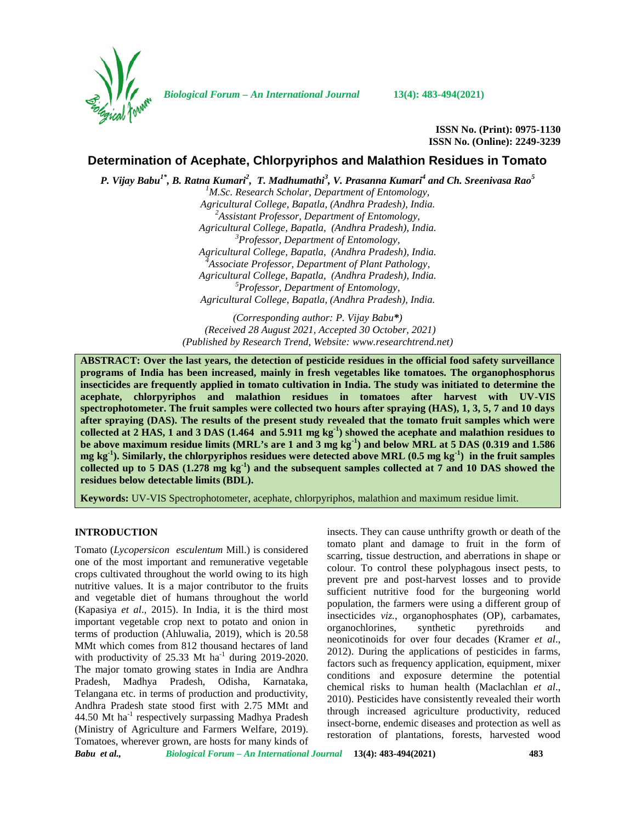

*Biological Forum – An International Journal* **13(4): 483-494(2021)**

**ISSN No. (Print): 0975-1130 ISSN No. (Online): 2249-3239**

# **Determination of Acephate, Chlorpyriphos and Malathion Residues in Tomato**

*P. Vijay Babu1\* , B. Ratna Kumari<sup>2</sup> , T. Madhumathi<sup>3</sup> , V. Prasanna Kumari<sup>4</sup> and Ch. Sreenivasa Rao<sup>5</sup>*

*<sup>1</sup>M.Sc. Research Scholar, Department of Entomology, Agricultural College, Bapatla, (Andhra Pradesh), India. <sup>2</sup>Assistant Professor, Department of Entomology, Agricultural College, Bapatla, (Andhra Pradesh), India. <sup>3</sup>Professor, Department of Entomology, Agricultural College, Bapatla, (Andhra Pradesh), India. <sup>4</sup>Associate Professor, Department of Plant Pathology, Agricultural College, Bapatla, (Andhra Pradesh), India. <sup>5</sup>Professor, Department of Entomology, Agricultural College, Bapatla, (Andhra Pradesh), India.*

*(Corresponding author: P. Vijay Babu\*) (Received 28 August 2021, Accepted 30 October, 2021) (Published by Research Trend, Website: [www.researchtrend.net\)](www.researchtrend.net)*

**ABSTRACT: Over the last years, the detection of pesticide residues in the official food safety surveillance programs of India has been increased, mainly in fresh vegetables like tomatoes. The organophosphorus insecticides are frequently applied in tomato cultivation in India. The study was initiated to determine the acephate, chlorpyriphos and malathion residues in tomatoes after harvest with UV-VIS spectrophotometer. The fruit samples were collected two hours after spraying (HAS), 1, 3, 5, 7 and 10 days after spraying (DAS). The results of the present study revealed that the tomato fruit samples which were collected at 2 HAS, 1 and 3 DAS (1.464 and 5.911 mg kg-1) showed the acephate and malathion residues to be above maximum residue limits (MRL's are 1 and 3 mg kg-1) and below MRL at 5 DAS (0.319 and 1.586 mg kg-1). Similarly, the chlorpyriphos residues were detected above MRL (0.5 mg kg-1) in the fruit samples collected up to 5 DAS (1.278 mg kg-1) and the subsequent samples collected at 7 and 10 DAS showed the residues below detectable limits (BDL).**

**Keywords:** UV-VIS Spectrophotometer, acephate, chlorpyriphos, malathion and maximum residue limit.

#### **INTRODUCTION**

Tomato (*Lycopersicon esculentum* Mill.) is considered one of the most important and remunerative vegetable crops cultivated throughout the world owing to its high nutritive values. It is a major contributor to the fruits and vegetable diet of humans throughout the world (Kapasiya *et al*., 2015). In India, it is the third most important vegetable crop next to potato and onion in terms of production (Ahluwalia, 2019), which is 20.58 MMt which comes from 812 thousand hectares of land with productivity of  $25.33$  Mt ha<sup>-1</sup> during 2019-2020. The major tomato growing states in India are Andhra Pradesh, Madhya Pradesh, Odisha, Karnataka, Telangana etc. in terms of production and productivity, Andhra Pradesh state stood first with 2.75 MMt and 44.50 Mt  $ha^{-1}$  respectively surpassing Madhya Pradesh (Ministry of Agriculture and Farmers Welfare, 2019). Tomatoes, wherever grown, are hosts for many kinds of insects. They can cause unthrifty growth or death of the tomato plant and damage to fruit in the form of scarring, tissue destruction, and aberrations in shape or colour. To control these polyphagous insect pests, to prevent pre and post-harvest losses and to provide sufficient nutritive food for the burgeoning world population, the farmers were using a different group of insecticides *viz.*, organophosphates (OP), carbamates, organochlorines, synthetic pyrethroids and organochlorines, synthetic pyrethroids and neonicotinoids for over four decades (Kramer *et al*., 2012). During the applications of pesticides in farms, factors such as frequency application, equipment, mixer conditions and exposure determine the potential chemical risks to human health (Maclachlan *et al*., 2010). Pesticides have consistently revealed their worth through increased agriculture productivity, reduced insect-borne, endemic diseases and protection as well as restoration of plantations, forests, harvested wood

*Babu et al., Biological Forum – An International Journal* **13(4): 483-494(2021) 483**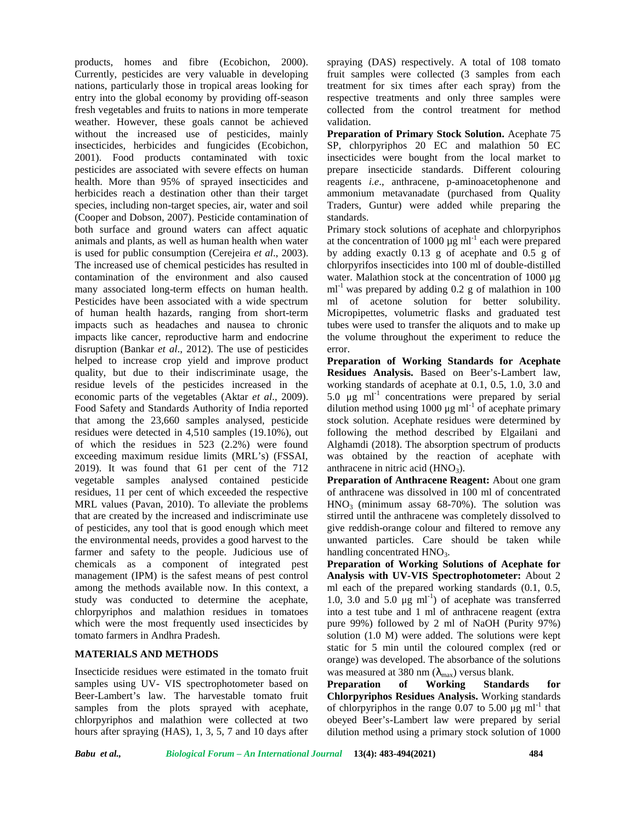products, homes and fibre (Ecobichon, 2000). Currently, pesticides are very valuable in developing nations, particularly those in tropical areas looking for entry into the global economy by providing off-season fresh vegetables and fruits to nations in more temperate weather. However, these goals cannot be achieved without the increased use of pesticides, mainly insecticides, herbicides and fungicides (Ecobichon, 2001). Food products contaminated with toxic pesticides are associated with severe effects on human health. More than 95% of sprayed insecticides and herbicides reach a destination other than their target species, including non-target species, air, water and soil (Cooper and Dobson, 2007). Pesticide contamination of both surface and ground waters can affect aquatic animals and plants, as well as human health when water is used for public consumption (Cerejeira *et al*., 2003). The increased use of chemical pesticides has resulted in contamination of the environment and also caused many associated long-term effects on human health. Pesticides have been associated with a wide spectrum of human health hazards, ranging from short-term impacts such as headaches and nausea to chronic impacts like cancer, reproductive harm and endocrine disruption (Bankar *et al*., 2012). The use of pesticides helped to increase crop yield and improve product quality, but due to their indiscriminate usage, the residue levels of the pesticides increased in the economic parts of the vegetables (Aktar *et al*., 2009). Food Safety and Standards Authority of India reported that among the 23,660 samples analysed, pesticide residues were detected in 4,510 samples (19.10%), out of which the residues in 523 (2.2%) were found exceeding maximum residue limits (MRL's) (FSSAI, 2019). It was found that 61 per cent of the 712 vegetable samples analysed contained pesticide residues, 11 per cent of which exceeded the respective MRL values (Pavan, 2010). To alleviate the problems that are created by the increased and indiscriminate use of pesticides, any tool that is good enough which meet the environmental needs, provides a good harvest to the farmer and safety to the people. Judicious use of chemicals as a component of integrated pest management (IPM) is the safest means of pest control among the methods available now. In this context, a study was conducted to determine the acephate, chlorpyriphos and malathion residues in tomatoes which were the most frequently used insecticides by tomato farmers in Andhra Pradesh.

## **MATERIALS AND METHODS**

Insecticide residues were estimated in the tomato fruit samples using UV- VIS spectrophotometer based on Beer-Lambert's law. The harvestable tomato fruit samples from the plots sprayed with acephate, chlorpyriphos and malathion were collected at two hours after spraying (HAS), 1, 3, 5, 7 and 10 days after

spraying (DAS) respectively. A total of 108 tomato fruit samples were collected (3 samples from each treatment for six times after each spray) from the respective treatments and only three samples were collected from the control treatment for method validation.

**Preparation of Primary Stock Solution.** Acephate 75 SP, chlorpyriphos 20 EC and malathion 50 EC insecticides were bought from the local market to prepare insecticide standards. Different colouring reagents *i.e*., anthracene, p-aminoacetophenone and ammonium metavanadate (purchased from Quality Traders, Guntur) were added while preparing the standards.

Primary stock solutions of acephate and chlorpyriphos at the concentration of  $1000 \mu g$  ml<sup>-1</sup> each were prepared by adding exactly 0.13 g of acephate and 0.5 g of chlorpyrifos insecticides into 100 ml of double-distilled water. Malathion stock at the concentration of 1000 µg  $ml<sup>-1</sup>$  was prepared by adding 0.2 g of malathion in 100 ml of acetone solution for better solubility. Micropipettes, volumetric flasks and graduated test tubes were used to transfer the aliquots and to make up the volume throughout the experiment to reduce the error.

**Preparation of Working Standards for Acephate Residues Analysis.** Based on Beer's-Lambert law, working standards of acephate at 0.1, 0.5, 1.0, 3.0 and 5.0  $\mu$ g ml<sup>-1</sup> concentrations were prepared by serial dilution method using 1000 μg ml<sup>-1</sup> of acephate primary stock solution. Acephate residues were determined by following the method described by Elgailani and Alghamdi (2018). The absorption spectrum of products was obtained by the reaction of acephate with anthracene in nitric acid  $(HNO<sub>3</sub>)$ .

**Preparation of Anthracene Reagent:** About one gram of anthracene was dissolved in 100 ml of concentrated  $HNO<sub>3</sub>$  (minimum assay 68-70%). The solution was stirred until the anthracene was completely dissolved to give reddish-orange colour and filtered to remove any unwanted particles. Care should be taken while handling concentrated  $HNO<sub>3</sub>$ .

**Preparation of Working Solutions of Acephate for Analysis with UV-VIS Spectrophotometer:** About 2 ml each of the prepared working standards (0.1, 0.5, 1.0, 3.0 and 5.0  $\mu$ g ml<sup>-1</sup>) of acephate was transferred into a test tube and 1 ml of anthracene reagent (extra pure 99%) followed by 2 ml of NaOH (Purity 97%) solution (1.0 M) were added. The solutions were kept static for 5 min until the coloured complex (red or orange) was developed. The absorbance of the solutions

was measured at 380 nm ( $\lambda_{\text{max}}$ ) versus blank.<br>**Preparation** of Working Standards **Preparation of Working Standards for Chlorpyriphos Residues Analysis.** Working standards of chlorpyriphos in the range  $0.07$  to 5.00  $\mu$ g ml<sup>-1</sup> that obeyed Beer's-Lambert law were prepared by serial dilution method using a primary stock solution of 1000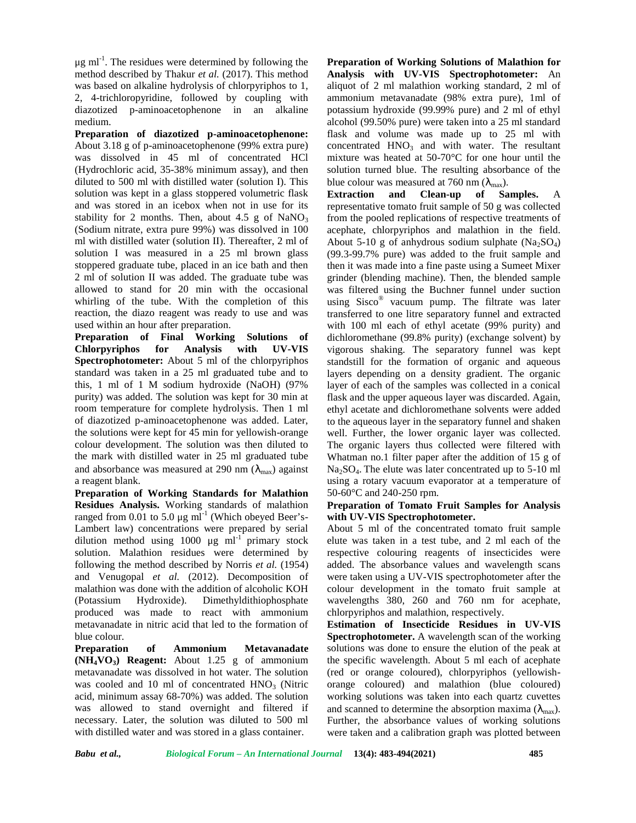$\mu$ g ml<sup>-1</sup>. The residues were determined by following the **Pre** method described by Thakur *et al.* (2017). This method was based on alkaline hydrolysis of chlorpyriphos to 1, 2, 4-trichloropyridine, followed by coupling with diazotized p-aminoacetophenone in an alkaline medium.

**Preparation of diazotized p-aminoacetophenone:** About 3.18 g of p-aminoacetophenone (99% extra pure) was dissolved in 45 ml of concentrated HCl (Hydrochloric acid, 35-38% minimum assay), and then diluted to 500 ml with distilled water (solution I). This solution was kept in a glass stoppered volumetric flask Extraction and and was stored in an icebox when not in use for its stability for 2 months. Then, about 4.5 g of  $NaNO<sub>3</sub>$ (Sodium nitrate, extra pure 99%) was dissolved in 100 ml with distilled water (solution II). Thereafter, 2 ml of solution I was measured in a 25 ml brown glass stoppered graduate tube, placed in an ice bath and then 2 ml of solution II was added. The graduate tube was allowed to stand for 20 min with the occasional whirling of the tube. With the completion of this reaction, the diazo reagent was ready to use and was used within an hour after preparation.

**Preparation of Final Working Solutions of Chlorpyriphos for Analysis with UV-VIS Spectrophotometer:** About 5 ml of the chlorpyriphos standard was taken in a 25 ml graduated tube and to this, 1 ml of 1 M sodium hydroxide (NaOH) (97% purity) was added. The solution was kept for 30 min at room temperature for complete hydrolysis. Then 1 ml of diazotized p-aminoacetophenone was added. Later, the solutions were kept for 45 min for yellowish-orange colour development. The solution was then diluted to the mark with distilled water in 25 ml graduated tube and absorbance was measured at 290 nm  $(\lambda_{\text{max}})$  against a reagent blank.

**Preparation of Working Standards for Malathion Residues Analysis.** Working standards of malathion ranged from 0.01 to 5.0  $\mu$ g ml<sup>-1</sup> (Which obeyed Beer's-Lambert law) concentrations were prepared by serial dilution method using 1000  $\mu$ g ml<sup>-1</sup> primary stock solution. Malathion residues were determined by following the method described by Norris *et al.* (1954) and Venugopal *et al.* (2012). Decomposition of malathion was done with the addition of alcoholic KOH (Potassium Hydroxide). Dimethyldithiophosphate produced was made to react with ammonium metavanadate in nitric acid that led to the formation of blue colour.

**Preparation of Ammonium Metavanadate (NH4VO3) Reagent:** About 1.25 g of ammonium metavanadate was dissolved in hot water. The solution was cooled and 10 ml of concentrated  $HNO<sub>3</sub>$  (Nitric acid, minimum assay 68-70%) was added. The solution was allowed to stand overnight and filtered if necessary. Later, the solution was diluted to 500 ml with distilled water and was stored in a glass container.

**Preparation of Working Solutions of Malathion for Analysis with UV-VIS Spectrophotometer:** An aliquot of 2 ml malathion working standard, 2 ml of ammonium metavanadate (98% extra pure), 1ml of potassium hydroxide (99.99% pure) and 2 ml of ethyl alcohol (99.50% pure) were taken into a 25 ml standard flask and volume was made up to 25 ml with concentrated  $HNO<sub>3</sub>$  and with water. The resultant mixture was heated at 50-70°C for one hour until the solution turned blue. The resulting absorbance of the blue colour was measured at 760 nm  $(\lambda_{\text{max}})$ .

**Clean-up of Samples.** A representative tomato fruit sample of 50 g was collected from the pooled replications of respective treatments of acephate, chlorpyriphos and malathion in the field. About 5-10 g of anhydrous sodium sulphate  $(Na_2SO_4)$ (99.3-99.7% pure) was added to the fruit sample and then it was made into a fine paste using a Sumeet Mixer grinder (blending machine). Then, the blended sample was filtered using the Buchner funnel under suction using Sisco® vacuum pump. The filtrate was later transferred to one litre separatory funnel and extracted with 100 ml each of ethyl acetate (99% purity) and dichloromethane (99.8% purity) (exchange solvent) by vigorous shaking. The separatory funnel was kept standstill for the formation of organic and aqueous layers depending on a density gradient. The organic layer of each of the samples was collected in a conical flask and the upper aqueous layer was discarded. Again, ethyl acetate and dichloromethane solvents were added to the aqueous layer in the separatory funnel and shaken well. Further, the lower organic layer was collected. The organic layers thus collected were filtered with Whatman no.1 filter paper after the addition of 15 g of  $Na<sub>3</sub>SO<sub>4</sub>$ . The elute was later concentrated up to 5-10 ml using a rotary vacuum evaporator at a temperature of 50-60°C and 240-250 rpm.

## **Preparation of Tomato Fruit Samples for Analysis with UV-VIS Spectrophotometer.**

About 5 ml of the concentrated tomato fruit sample elute was taken in a test tube, and 2 ml each of the respective colouring reagents of insecticides were added. The absorbance values and wavelength scans were taken using a UV-VIS spectrophotometer after the colour development in the tomato fruit sample at wavelengths 380, 260 and 760 nm for acephate, chlorpyriphos and malathion, respectively.

**Estimation of Insecticide Residues in UV-VIS Spectrophotometer.** A wavelength scan of the working solutions was done to ensure the elution of the peak at the specific wavelength. About 5 ml each of acephate (red or orange coloured), chlorpyriphos (yellowish orange coloured) and malathion (blue coloured) working solutions was taken into each quartz cuvettes and scanned to determine the absorption maxima ( $\lambda_{\text{max}}$ ). Further, the absorbance values of working solutions were taken and a calibration graph was plotted between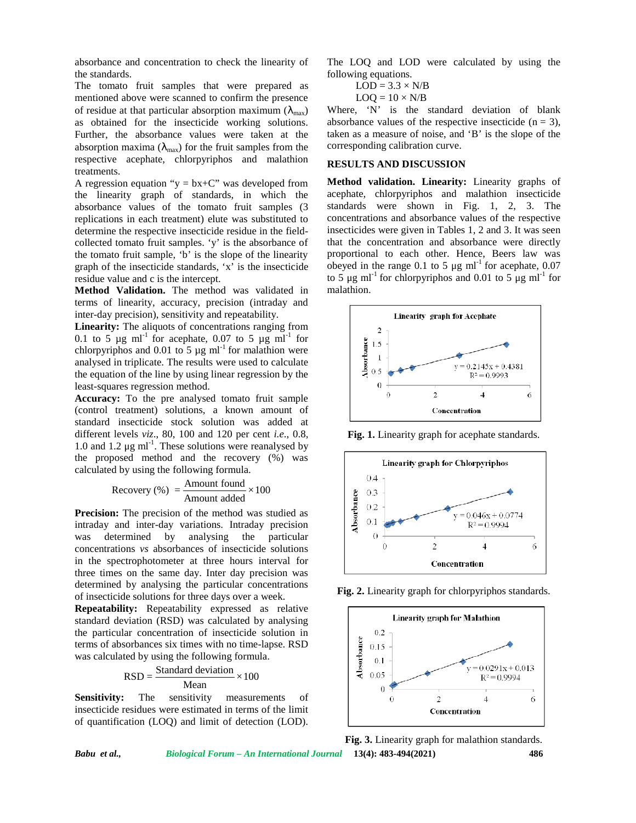absorbance and concentration to check the linearity of the standards.

The tomato fruit samples that were prepared as mentioned above were scanned to confirm the presence of residue at that particular absorption maximum ( $\lambda_{\text{max}}$ ) as obtained for the insecticide working solutions. Further, the absorbance values were taken at the absorption maxima ( $\lambda_{\text{max}}$ ) for the fruit samples from the respective acephate, chlorpyriphos and malathion treatments.

A regression equation " $y = bx + C$ " was developed from the linearity graph of standards, in which the absorbance values of the tomato fruit samples (3 replications in each treatment) elute was substituted to determine the respective insecticide residue in the field collected tomato fruit samples. 'y' is the absorbance of the tomato fruit sample, 'b' is the slope of the linearity graph of the insecticide standards, 'x' is the insecticide residue value and c is the intercept.

**Method Validation.** The method was validated in terms of linearity, accuracy, precision (intraday and inter-day precision), sensitivity and repeatability.

**Linearity:** The aliquots of concentrations ranging from 0.1 to 5  $\mu$ g ml<sup>-1</sup> for acephate, 0.07 to 5  $\mu$ g ml<sup>-1</sup> for chlorpyriphos and 0.01 to 5  $\mu$ g ml<sup>-1</sup> for malathion were analysed in triplicate. The results were used to calculate the equation of the line by using linear regression by the least-squares regression method.

**Accuracy:** To the pre analysed tomato fruit sample (control treatment) solutions, a known amount of standard insecticide stock solution was added at different levels *viz*., 80, 100 and 120 per cent *i.e*., 0.8, 1.0 and 1.2  $\mu$ g ml<sup>-1</sup>. These solutions were reanalysed by the proposed method and the recovery (%) was calculated by using the following formula. e the respective insecticide residue in the field-<br>
incomto fruit sample, 'b' is the absorbance of the linearity<br>
to mit to more fruit sample, 'b' is the slope of the linearity<br>
and cost the intercept.<br>
In the insecticide

$$
Recovery (%) = \frac{Amount found}{Amount added} \times 100
$$

**Precision:** The precision of the method was studied as intraday and inter-day variations. Intraday precision was determined by analysing the particular concentrations *vs* absorbances of insecticide solutions in the spectrophotometer at three hours interval for three times on the same day. Inter day precision was determined by analysing the particular concentrations of insecticide solutions for three days over a week. Standard stock solution was added at<br>
standard standard standard in the standard covery (%) was<br>
y using the following formula.<br>
Equation and the recovery (%) was<br>
y using the following formula.<br>
Covery (%) =  $\frac{3}{\text{Amount found}}$ 

**Repeatability:** Repeatability expressed as relative standard deviation (RSD) was calculated by analysing the particular concentration of insecticide solution in terms of absorbances six times with no time-lapse. RSD<br>was calculated by using the following formula.<br>RSD  $\left[\n\begin{array}{c}\n\text{RSD} \\
\text{RSD} \\
\text{RSD}\n\end{array}\n\right]$ was calculated by using the following formula.

$$
RSD = \frac{\text{Standard deviation}}{\text{Mean}} \times 100
$$

**Sensitivity:** The sensitivity measurements of insecticide residues were estimated in terms of the limit of quantification (LOQ) and limit of detection (LOD). The LOQ and LOD were calculated by using the following equations.

$$
LOD = 3.3 \times N/B
$$

$$
LOQ = 10 \times N/B
$$

Where, 'N' is the standard deviation of blank absorbance values of the respective insecticide  $(n = 3)$ , taken as a measure of noise, and 'B' is the slope of the corresponding calibration curve.

#### **RESULTS AND DISCUSSION**

**Method validation. Linearity:** Linearity graphs of acephate, chlorpyriphos and malathion insecticide standards were shown in Fig. 1, 2, 3. The concentrations and absorbance values of the respective insecticides were given in Tables 1, 2 and 3. It was seen that the concentration and absorbance were directly proportional to each other. Hence, Beers law was obeyed in the range 0.1 to 5  $\mu$ g ml<sup>-1</sup> for acephate, 0.07 to 5 μg ml<sup>-1</sup> for chlorpyriphos and 0.01 to 5 μg ml<sup>-1</sup> for malathion.



**Fig. 1.** Linearity graph for acephate standards.



**Fig. 2.** Linearity graph for chlorpyriphos standards.



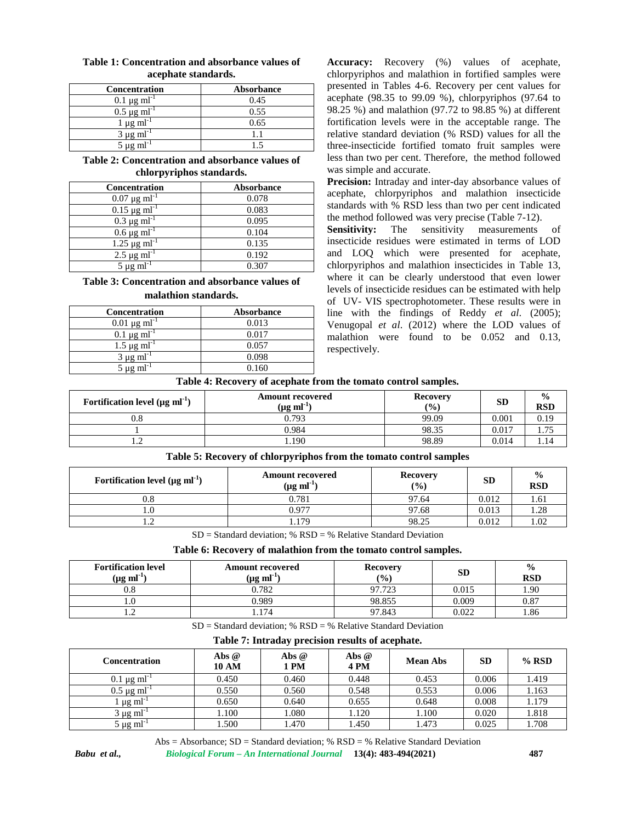| -                              |            |
|--------------------------------|------------|
| <b>Concentration</b>           | Absorbance |
| $0.1 \,\mu g \,\text{ml}^{-1}$ | 0.45       |
| $0.5 \mu g$ ml <sup>-1</sup>   | 0.55       |
| $\mu$ g ml <sup>-1</sup>       | 0.65       |
| $3 \mu g$ ml <sup>-1</sup>     |            |
| $5 \mu g$ ml                   |            |

### **Table 1: Concentration and absorbance values of acephate standards.**

## **Table 2: Concentration and absorbance values of chlorpyriphos standards.**

| Concentration                   | Absorbance |
|---------------------------------|------------|
| $0.07 \,\mu g \text{ ml}^{-1}$  | 0.078      |
| $0.15 \,\mu g \text{ ml}^{-1}$  | 0.083      |
| $0.3 \mu g \text{ ml}^{-1}$     | 0.095      |
| $0.6 \,\mu g \, \text{ml}^{-1}$ | 0.104      |
| $1.25 \,\mu g \text{ ml}^{-1}$  | 0.135      |
| $2.5 \mu g \text{ ml}^{-1}$     | 0.192      |
| $5 \mu g$ ml <sup>-1</sup>      | 0.307      |

## **Table 3: Concentration and absorbance values of malathion standards.**

| <b>Concentration</b>            | Absorbance |
|---------------------------------|------------|
| $0.01 \mu g$ ml <sup>-1</sup>   | 0.013      |
| $0.1 \mu$ g ml                  | 0.017      |
| $1.5 \,\mu g \, \text{ml}^{-1}$ | 0.057      |
| $3 \mu g$ ml <sup>-1</sup>      | 0.098      |
| $5 \mu$ g m $^{-1}$             | 0.160      |

**Accuracy:** Recovery (%) values of acephate, chlorpyriphos and malathion in fortified samples were presented in Tables 4-6. Recovery per cent values for acephate (98.35 to 99.09 %), chlorpyriphos (97.64 to 98.25 %) and malathion (97.72 to 98.85 %) at different fortification levels were in the acceptable range. The relative standard deviation (% RSD) values for all the three-insecticide fortified tomato fruit samples were less than two per cent. Therefore, the method followed was simple and accurate.

**Precision:** Intraday and inter-day absorbance values of acephate, chlorpyriphos and malathion insecticide standards with % RSD less than two per cent indicated the method followed was very precise (Table 7-12).

**Sensitivity:** The sensitivity measurements of insecticide residues were estimated in terms of LOD and LOQ which were presented for acephate, chlorpyriphos and malathion insecticides in Table 13, where it can be clearly understood that even lower levels of insecticide residues can be estimated with help of UV- VIS spectrophotometer. These results were in line with the findings of Reddy *et al*. (2005); Venugopal *et al*. (2012) where the LOD values of malathion were found to be 0.052 and 0.13, respectively.

## **Table 4: Recovery of acephate from the tomato control samples.**

| Fortification level $(\mu g \, \text{ml}^{-1})$ | <b>Amount recovered</b><br>$(\mu g \; \text{ml}^{-1})$ | <b>Recovery</b><br>(9/0) | <b>SD</b> | $\frac{0}{0}$<br><b>RSD</b> |
|-------------------------------------------------|--------------------------------------------------------|--------------------------|-----------|-----------------------------|
| v.c                                             | 0.793                                                  | 99.09                    | 0.001     | 0.19                        |
|                                                 | 0.984                                                  | 98.35                    | 0.017     | $- -$<br>.                  |
| .                                               | . . 190                                                | 98.89                    | 0.014     | $\rightarrow$<br>1.14       |

### **Table 5: Recovery of chlorpyriphos from the tomato control samples**

| Fortification level $(\mu g \, \text{ml}^{-1})$ | <b>Amount recovered</b><br>$(\mu g \text{ ml}^{-1})$ | <b>Recovery</b><br>$(\%)$ | <b>SD</b> | $\frac{0}{0}$<br><b>RSD</b> |
|-------------------------------------------------|------------------------------------------------------|---------------------------|-----------|-----------------------------|
| $0.8\,$                                         | 0.781                                                | 97.64                     | 0.012     | 1.61                        |
| 1.U                                             | 0.977                                                | 97.68                     | 0.013     | 1.28                        |
| $\overline{1}$                                  | .179                                                 | 98.25                     | 0.012     | . .02                       |

 $SD = Standard deviation$ ; %  $RSD =$  % Relative Standard Deviation

### **Table 6: Recovery of malathion from the tomato control samples.**

| <b>Fortification level</b><br>$(\mu g \text{ ml}^{-1})$ | <b>Amount recovered</b><br>$(\mu g \text{ ml}^{-1})$ | <b>Recovery</b><br>$\frac{9}{0}$ | $\mathbf{SD}$ | $\frac{0}{0}$<br><b>RSD</b> |
|---------------------------------------------------------|------------------------------------------------------|----------------------------------|---------------|-----------------------------|
| $_{0.8}$                                                | 0.782                                                | 07.723<br>1.12J                  | 0.015         | 1.90                        |
|                                                         | 0.989                                                | 98.855                           | 0.009         | 0.87                        |
| .                                                       | $\overline{ }$                                       | 97.843                           | 0.022         | 1.86                        |

 $SD = Standard deviation: % RSD = % Relative Standard Deviation$ 

**Table 7: Intraday precision results of acephate.**

| Concentration                  | Abs @<br><b>10 AM</b> | Abs @<br><b>PM</b> | Abs $@$<br><b>4 PM</b> | <b>Mean Abs</b> | <b>SD</b> | $%$ RSD |
|--------------------------------|-----------------------|--------------------|------------------------|-----------------|-----------|---------|
| $0.1 \,\mu g \,\text{ml}^{-1}$ | 0.450                 | 0.460              | 0.448                  | 0.453           | 0.006     | 1.419   |
| $0.5 \mu g$ ml <sup>-</sup>    | 0.550                 | 0.560              | 0.548                  | 0.553           | 0.006     | 1.163   |
| $\mu$ g ml                     | 0.650                 | 0.640              | 0.655                  | 0.648           | 0.008     | 1.179   |
| 3 µg ml <sup>-</sup>           | 1.100                 | .080               | 1.120                  | 1.100           | 0.020     | 1.818   |
| $5 \mu g$ ml <sup>-1</sup>     | .500                  | .470               | 1.450                  | 1.473           | 0.025     | l.708   |

Abs = Absorbance;  $SD = Standard deviation$ ; %  $RSD =$  % Relative Standard Deviation

*Babu et al., Biological Forum – An International Journal* **13(4): 483-494(2021) 487**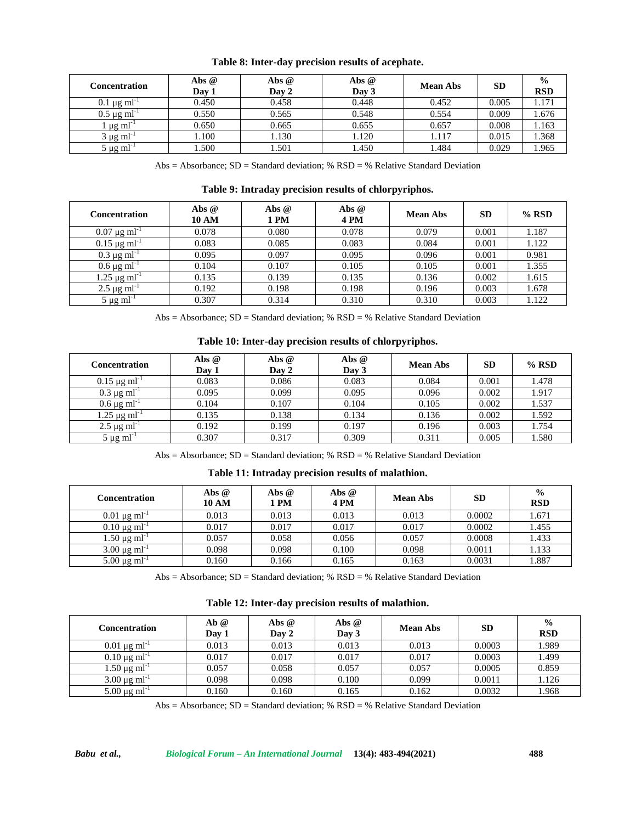| Concentration                  | Abs $@$<br>Day 1 | Abs @<br>Day 2 | Abs @<br>Day 3 | <b>Mean Abs</b> | <b>SD</b> | $\frac{0}{0}$<br><b>RSD</b> |
|--------------------------------|------------------|----------------|----------------|-----------------|-----------|-----------------------------|
| $0.1 \mu g$ ml                 | 0.450            | 0.458          | 0.448          | 0.452           | 0.005     | 1.171                       |
| $0.5 \,\mu g \,\text{ml}^{-1}$ | 0.550            | 0.565          | 0.548          | 0.554           | 0.009     | 1.676                       |
| ug ml                          | 0.650            | 0.665          | 0.655          | 0.657           | 0.008     | 1.163                       |
| $3 \mu g$ ml <sup>-</sup>      | 0.100            | 1.130          | 1.120          | 1.117           | 0.015     | 1.368                       |
| $5 \mu g$ ml <sup>-1</sup>     | .500             | .501           | .450           | l.484           | 0.029     | 1.965                       |

**Table 8: Inter-day precision results of acephate.**

Abs = Absorbance; SD = Standard deviation; % RSD = % Relative Standard Deviation

**Table 9: Intraday precision results of chlorpyriphos.**

| <b>Concentration</b>            | Abs $@$<br><b>10 AM</b> | Abs @<br>1 PM | Abs $@$<br>4PM | <b>Mean Abs</b> | <b>SD</b> | $%$ RSD |
|---------------------------------|-------------------------|---------------|----------------|-----------------|-----------|---------|
| $0.07 \mu g$ ml <sup>-1</sup>   | 0.078                   | 0.080         | 0.078          | 0.079           | 0.001     | 1.187   |
| $0.15 \mu g$ ml <sup>-1</sup>   | 0.083                   | 0.085         | 0.083          | 0.084           | 0.001     | 1.122   |
| $0.3 \mu g$ ml <sup>-1</sup>    | 0.095                   | 0.097         | 0.095          | 0.096           | 0.001     | 0.981   |
| $0.6 \,\mu g \, \text{ml}^{-1}$ | 0.104                   | 0.107         | 0.105          | 0.105           | 0.001     | 1.355   |
| $1.25 \,\mu g \text{ ml}^{-1}$  | 0.135                   | 0.139         | 0.135          | 0.136           | 0.002     | 1.615   |
| $2.5 \,\mu g \, \text{ml}^{-1}$ | 0.192                   | 0.198         | 0.198          | 0.196           | 0.003     | 1.678   |
| $5 \mu g \text{ ml}^{-1}$       | 0.307                   | 0.314         | 0.310          | 0.310           | 0.003     | 1.122   |

Abs = Absorbance;  $SD = Standard deviation$ ; %  $RSD =$  % Relative Standard Deviation

## **Table 10: Inter-day precision results of chlorpyriphos.**

| Concentration                    | Abs $@$<br>Day 1 | Abs $@$<br>Day 2 | Abs $@$<br>Day 3 | <b>Mean Abs</b> | SD    | $%$ RSD |
|----------------------------------|------------------|------------------|------------------|-----------------|-------|---------|
| $0.15 \,\mu g \,\text{ml}^{-1}$  | 0.083            | 0.086            | 0.083            | 0.084           | 0.001 | 1.478   |
| $0.3 \mu g \text{ ml}^{-1}$      | 0.095            | 0.099            | 0.095            | 0.096           | 0.002 | 1.917   |
| $0.6 \,\mu g \, \text{ml}^{-1}$  | 0.104            | 0.107            | 0.104            | 0.105           | 0.002 | 1.537   |
| $1.25 \,\mu g \,\text{ml}^{-1}$  | 0.135            | 0.138            | 0.134            | 0.136           | 0.002 | 1.592   |
| $2.5 \,\mu g \,\text{ml}^{-1}$   | 0.192            | 0.199            | 0.197            | 0.196           | 0.003 | 1.754   |
| $5~\mu{\rm g}~{\rm m}$ l $^{-1}$ | 0.307            | 0.317            | 0.309            | 0.311           | 0.005 | 1.580   |

Abs = Absorbance;  $SD = Standard deviation$ ; %  $RSD =$  % Relative Standard Deviation

### **Table 11: Intraday precision results of malathion.**

| <b>Concentration</b>             | Abs @<br><b>10 AM</b> | Abs $@$<br>1 PM | Abs @<br>4PM | <b>Mean Abs</b> | <b>SD</b> | $\frac{0}{0}$<br><b>RSD</b> |
|----------------------------------|-----------------------|-----------------|--------------|-----------------|-----------|-----------------------------|
| $0.01 \,\mu g \,\text{ml}^{-1}$  | 0.013                 | 0.013           | 0.013        | 0.013           | 0.0002    | 1.671                       |
| $0.10 \,\mu g \, \text{ml}^{-1}$ | 0.017                 | 0.017           | 0.017        | 0.017           | 0.0002    | 1.455                       |
| 1.50 μg ml <sup>-1</sup>         | 0.057                 | 0.058           | 0.056        | 0.057           | 0.0008    | 1.433                       |
| $3.00 \,\mu g \text{ ml}^{-1}$   | 0.098                 | 0.098           | 0.100        | 0.098           | 0.0011    | 1.133                       |
| $5.00 \,\mathrm{\mu g\,ml}^{-1}$ | 0.160                 | 0.166           | 0.165        | 0.163           | 0.0031    | 1.887                       |

Abs = Absorbance; SD = Standard deviation; % RSD = % Relative Standard Deviation

| Concentration                    | Ab@<br>Day 1 | Abs $@$<br>Day 2 | Abs @<br>Day 3 | <b>Mean Abs</b> | <b>SD</b> | $\frac{0}{0}$<br><b>RSD</b> |
|----------------------------------|--------------|------------------|----------------|-----------------|-----------|-----------------------------|
| $0.01 \,\mu g \,\text{ml}^{-1}$  | 0.013        | 0.013            | 0.013          | 0.013           | 0.0003    | 1.989                       |
| $0.10 \,\mathrm{\mu g\,ml}^{-1}$ | 0.017        | 0.017            | 0.017          | 0.017           | 0.0003    | 1.499                       |
| $1.50 \,\mathrm{\mu g\,ml}^{-1}$ | 0.057        | 0.058            | 0.057          | 0.057           | 0.0005    | 0.859                       |
| $3.00 \,\mu g \text{ ml}^{-1}$   | 0.098        | 0.098            | 0.100          | 0.099           | 0.0011    | 1.126                       |
| $5.00 \,\mu g \,\text{ml}^{-1}$  | 0.160        | 0.160            | 0.165          | 0.162           | 0.0032    | 1.968                       |

Abs = Absorbance;  $SD = Standard deviation$ ; %  $RSD =$  % Relative Standard Deviation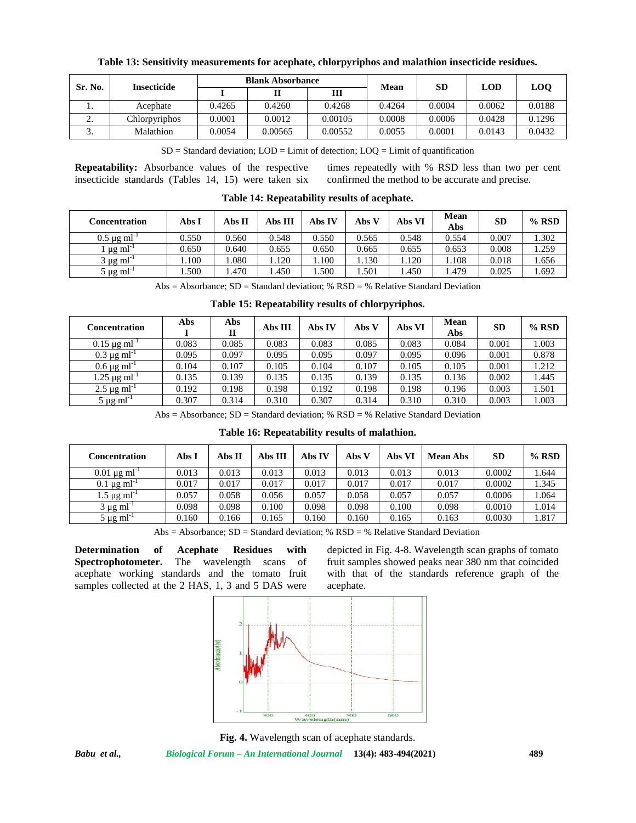| Sr. No. | <b>Insecticide</b> | <b>Blank Absorbance</b> |         | Mean    | <b>SD</b> | LOD    | <b>LOO</b> |        |
|---------|--------------------|-------------------------|---------|---------|-----------|--------|------------|--------|
|         |                    |                         |         | ш       |           |        |            |        |
|         | Acephate           | 0.4265                  | 0.4260  | 0.4268  | 0.4264    | 0.0004 | 0.0062     | 0.0188 |
| ,.      | Chlorpyriphos      | 0.0001                  | 0.0012  | 0.00105 | 0.0008    | 0.0006 | 0.0428     | 0.1296 |
| J .     | Malathion          | 0.0054                  | 0.00565 | 0.00552 | 0.0055    | 0.0001 | 0.0143     | 0.0432 |

**Table 13: Sensitivity measurements for acephate, chlorpyriphos and malathion insecticide residues.**

 $SD = Standard deviation$ ;  $LOD = Limit of detection$ ;  $LOQ = Limit of quantification$ 

**Repeatability:** Absorbance values of the respective times repeatedly with % RSD less than two per cent

confirmed the method to be accurate and precise.

| Concentration                | Abs I  | Abs II | Abs III | Abs IV | Abs V | Abs VI | Mean<br>Abs | <b>SD</b> | $%$ RSD |
|------------------------------|--------|--------|---------|--------|-------|--------|-------------|-----------|---------|
| $0.5 \mu$ g ml <sup>-1</sup> | 0.550  | 0.560  | 0.548   | 0.550  | 0.565 | 0.548  | 0.554       | 0.007     | 1.302   |
| $\mu$ µg ml <sup>-1</sup>    | 0.650  | 0.640  | 0.655   | 0.650  | 0.665 | 0.655  | 0.653       | 0.008     | 1.259   |
| 3 µg ml $^{-1}$              | 1.100  | .080   | .120    | .100   | .130  | 1.120  | .108        | 0.018     | 1.656   |
| 5 µg ml <sup>-1</sup>        | . .500 | .470   | .450    | .500   | .501  | .450   | 1.479       | 0.025     | 1.692   |

**Table 14: Repeatability results of acephate.**

Abs = Absorbance;  $SD = Standard deviation$ ; %  $RSD =$  % Relative Standard Deviation

| Tuble Ict Itepenmonty Testito of emoty (Tiphost |       |          |         |        |       |        |             |           |         |
|-------------------------------------------------|-------|----------|---------|--------|-------|--------|-------------|-----------|---------|
| <b>Concentration</b>                            | Abs   | Abs<br>Н | Abs III | Abs IV | Abs V | Abs VI | Mean<br>Abs | <b>SD</b> | $%$ RSD |
| $0.15 \,\mathrm{\mu g\,ml^{-1}}$                | 0.083 | 0.085    | 0.083   | 0.083  | 0.085 | 0.083  | 0.084       | 0.001     | 1.003   |
| $0.3 \,\mu g \,\text{ml}^{-1}$                  | 0.095 | 0.097    | 0.095   | 0.095  | 0.097 | 0.095  | 0.096       | 0.001     | 0.878   |
| $0.6 \,\mu g \, \text{ml}^{-1}$                 | 0.104 | 0.107    | 0.105   | 0.104  | 0.107 | 0.105  | 0.105       | 0.001     | 1.212   |
| $1.25 \,\mu g \,\text{ml}^{-1}$                 | 0.135 | 0.139    | 0.135   | 0.135  | 0.139 | 0.135  | 0.136       | 0.002     | 1.445   |
| $2.5 \,\mu g \, \text{ml}^{-1}$                 | 0.192 | 0.198    | 0.198   | 0.192  | 0.198 | 0.198  | 0.196       | 0.003     | 1.501   |
| $5 \mu g$ ml <sup>-1</sup>                      | 0.307 | 0.314    | 0.310   | 0.307  | 0.314 | 0.310  | 0.310       | 0.003     | 1.003   |

**Table 15: Repeatability results of chlorpyriphos.**

Abs = Absorbance;  $SD = Standard deviation$ ; %  $RSD =$  % Relative Standard Deviation

### **Table 16: Repeatability results of malathion.**

| Concentration                   | Abs I | Abs II | Abs III | Abs IV | Abs V | Abs VI | <b>Mean Abs</b> | <b>SD</b> | $%$ RSD |
|---------------------------------|-------|--------|---------|--------|-------|--------|-----------------|-----------|---------|
| $0.01 \,\mu g \,\text{ml}^{-1}$ | 0.013 | 0.013  | 0.013   | 0.013  | 0.013 | 0.013  | 0.013           | 0.0002    | 1.644   |
| $0.1 \,\mu g \, \text{ml}^{-1}$ | 0.017 | 0.017  | 0.017   | 0.017  | 0.017 | 0.017  | 0.017           | 0.0002    | 1.345   |
| $1.5 \,\mu g \, \text{ml}^{-1}$ | 0.057 | 0.058  | 0.056   | 0.057  | 0.058 | 0.057  | 0.057           | 0.0006    | 1.064   |
| $3 \mu g$ ml <sup>-1</sup>      | 0.098 | 0.098  | 0.100   | 0.098  | 0.098 | 0.100  | 0.098           | 0.0010    | 1.014   |
| $5 \mu g$ ml <sup>-1</sup>      | 0.160 | 0.166  | 0.165   | 0.160  | 0.160 | 0.165  | 0.163           | 0.0030    | 1.817   |

Abs = Absorbance;  $SD = Standard deviation$ ; %  $RSD =$  % Relative Standard Deviation

**Determination of Acephate Residues with Spectrophotometer.** The wavelength scans of acephate working standards and the tomato fruit samples collected at the 2 HAS, 1, 3 and 5 DAS were

insecticide standards (Tables 14, 15) were taken six

depicted in Fig. 4-8. Wavelength scan graphs of tomato fruit samples showed peaks near 380 nm that coincided with that of the standards reference graph of the acephate.



**Fig. 4.** Wavelength scan of acephate standards.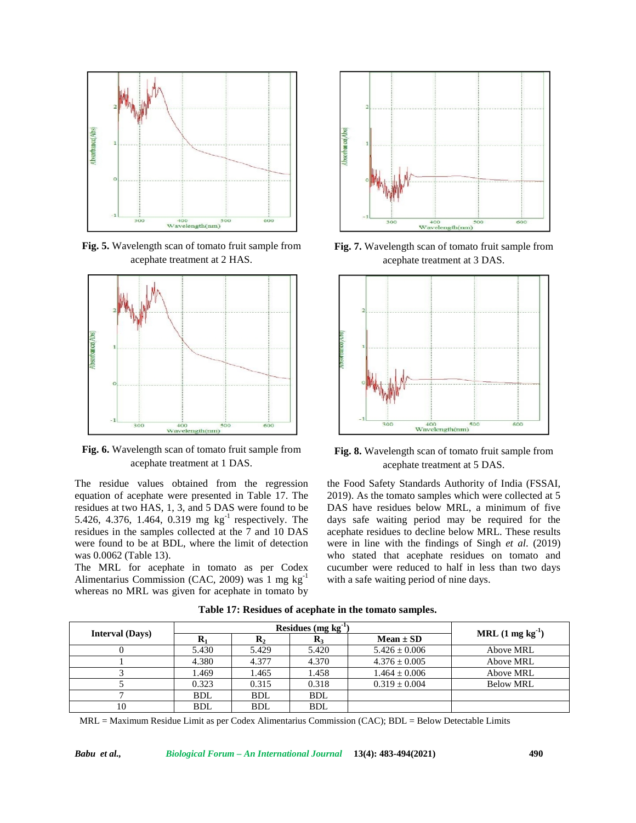

**Fig. 5.** Wavelength scan of tomato fruit sample from acephate treatment at 2 HAS.



**Fig. 6.** Wavelength scan of tomato fruit sample from acephate treatment at 1 DAS.

The residue values obtained from the regression equation of acephate were presented in Table 17. The residues at two HAS, 1, 3, and 5 DAS were found to be 5.426, 4.376, 1.464, 0.319 mg kg<sup>-1</sup> respectively. The residues in the samples collected at the 7 and 10 DAS were found to be at BDL, where the limit of detection was 0.0062 (Table 13).

The MRL for acephate in tomato as per Codex Alimentarius Commission (CAC, 2009) was 1 mg kg-1 whereas no MRL was given for acephate in tomato by



**Fig. 7.** Wavelength scan of tomato fruit sample from acephate treatment at 3 DAS.



**Fig. 8.** Wavelength scan of tomato fruit sample from acephate treatment at 5 DAS.

the Food Safety Standards Authority of India (FSSAI, 2019). As the tomato samples which were collected at 5 DAS have residues below MRL, a minimum of five days safe waiting period may be required for the acephate residues to decline below MRL. These results were in line with the findings of Singh *et al*. (2019) who stated that acephate residues on tomato and cucumber were reduced to half in less than two days with a safe waiting period of nine days.

|                        |            |            | Residues (mg $kg^{-1}$ ) |                   | $MRL(1 mg kg-1)$ |
|------------------------|------------|------------|--------------------------|-------------------|------------------|
| <b>Interval</b> (Days) |            | ĸ٠         | K3                       | $Mean \pm SD$     |                  |
|                        | 5.430      | 5.429      | 5.420                    | $5.426 \pm 0.006$ | Above MRL        |
|                        | 4.380      | 4.377      | 4.370                    | $4.376 \pm 0.005$ | Above MRL        |
|                        | .469       | 1.465      | 1.458                    | $1.464 \pm 0.006$ | Above MRL        |
|                        | 0.323      | 0.315      | 0.318                    | $0.319 + 0.004$   | <b>Below MRL</b> |
|                        | <b>BDL</b> | <b>BDL</b> | <b>BDL</b>               |                   |                  |
| 10                     | <b>BDL</b> | <b>BDL</b> | <b>BDL</b>               |                   |                  |

**Table 17: Residues of acephate in the tomato samples.**

MRL = Maximum Residue Limit as per Codex Alimentarius Commission (CAC); BDL = Below Detectable Limits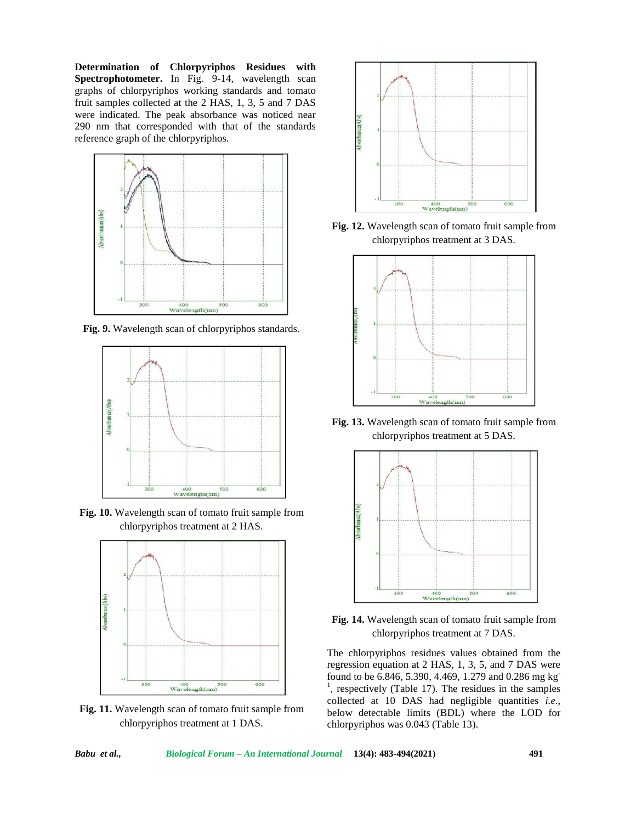**Determination of Chlorpyriphos Residues with Spectrophotometer.** In Fig. 9-14, wavelength scan graphs of chlorpyriphos working standards and tomato fruit samples collected at the 2 HAS, 1, 3, 5 and 7 DAS were indicated. The peak absorbance was noticed near 290 nm that corresponded with that of the standards reference graph of the chlorpyriphos.



**Fig. 9.** Wavelength scan of chlorpyriphos standards.



**Fig. 10.** Wavelength scan of tomato fruit sample from chlorpyriphos treatment at 2 HAS.



**Fig. 11.** Wavelength scan of tomato fruit sample from chlorpyriphos treatment at 1 DAS.



**Fig. 12.** Wavelength scan of tomato fruit sample from chlorpyriphos treatment at 3 DAS.



**Fig. 13.** Wavelength scan of tomato fruit sample from chlorpyriphos treatment at 5 DAS.





The chlorpyriphos residues values obtained from the regression equation at 2 HAS, 1, 3, 5, and 7 DAS were found to be 6.846, 5.390, 4.469, 1.279 and 0.286 mg kg<sup>-</sup> <sup>1</sup>, respectively (Table 17). The residues in the samples collected at 10 DAS had negligible quantities *i.e*., below detectable limits (BDL) where the LOD for chlorpyriphos was 0.043 (Table 13).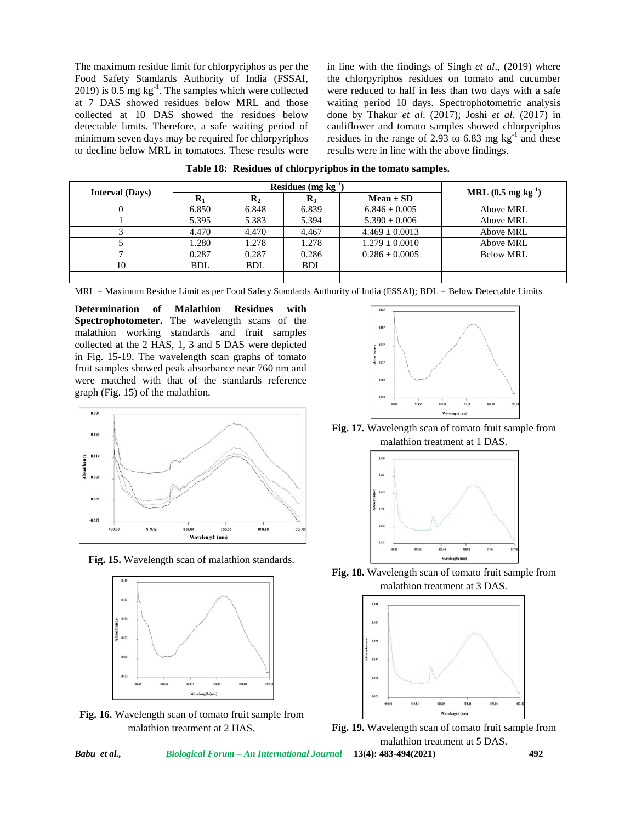The maximum residue limit for chlorpyriphos as per the Food Safety Standards Authority of India (FSSAI, 2019) is 0.5 mg  $kg^{-1}$ . The samples which were collected were at 7 DAS showed residues below MRL and those collected at 10 DAS showed the residues below detectable limits. Therefore, a safe waiting period of minimum seven days may be required for chlorpyriphos to decline below MRL in tomatoes. These results were

in line with the findings of Singh *et al*., (2019) where the chlorpyriphos residues on tomato and cucumber were reduced to half in less than two days with a safe waiting period 10 days. Spectrophotometric analysis done by Thakur *et al*. (2017); Joshi *et al*. (2017) in cauliflower and tomato samples showed chlorpyriphos residues in the range of 2.93 to 6.83 mg  $kg^{-1}$  and these results were in line with the above findings.

|                        |            | Residues $(mg kg^{-1})$ |                |                    | MRL $(0.5 \text{ mg kg}^{-1})$ |  |
|------------------------|------------|-------------------------|----------------|--------------------|--------------------------------|--|
| <b>Interval</b> (Days) |            | $\mathbf{R}_{2}$        | $\mathbf{R}_3$ | $Mean \pm SD$      |                                |  |
|                        | 6.850      | 6.848                   | 6.839          | $6.846 \pm 0.005$  | Above MRL                      |  |
|                        | 5.395      | 5.383                   | 5.394          | $5.390 \pm 0.006$  | Above MRL                      |  |
|                        | 4.470      | 4.470                   | 4.467          | $4.469 \pm 0.0013$ | Above MRL                      |  |
|                        | 1.280      | 1.278                   | 1.278          | $1.279 \pm 0.0010$ | Above MRL                      |  |
|                        | 0.287      | 0.287                   | 0.286          | $0.286 \pm 0.0005$ | <b>Below MRL</b>               |  |
| 10                     | <b>BDL</b> | <b>BDL</b>              | <b>BDL</b>     |                    |                                |  |
|                        |            |                         |                |                    |                                |  |

**Table 18: Residues of chlorpyriphos in the tomato samples.**

MRL = Maximum Residue Limit as per Food Safety Standards Authority of India (FSSAI); BDL = Below Detectable Limits

**Determination of Malathion Residues with Spectrophotometer.** The wavelength scans of the malathion working standards and fruit samples collected at the 2 HAS, 1, 3 and 5 DAS were depicted in Fig. 15-19. The wavelength scan graphs of tomato fruit samples showed peak absorbance near 760 nm and were matched with that of the standards reference graph (Fig. 15) of the malathion.



**Fig. 15.** Wavelength scan of malathion standards.



**Fig. 16.** Wavelength scan of tomato fruit sample from malathion treatment at 2 HAS.



**Fig. 17.** Wavelength scan of tomato fruit sample from malathion treatment at 1 DAS.



**Fig. 18.** Wavelength scan of tomato fruit sample from malathion treatment at 3 DAS.



**Fig. 19.** Wavelength scan of tomato fruit sample from malathion treatment at 5 DAS.

*Babu et al., Biological Forum – An International Journal* **13(4): 483-494(2021) 492**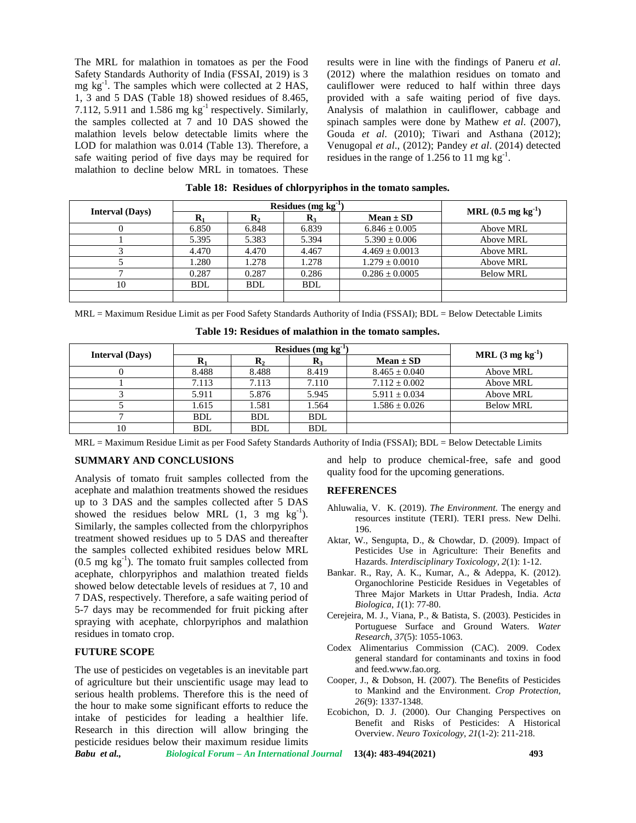The MRL for malathion in tomatoes as per the Food Safety Standards Authority of India (FSSAI, 2019) is 3 mg kg<sup>-1</sup>. The samples which were collected at 2 HAS, 1, 3 and 5 DAS (Table 18) showed residues of 8.465, 7.112, 5.911 and  $1.586$  mg kg<sup>-1</sup> respectively. Similarly, the samples collected at 7 and 10 DAS showed the malathion levels below detectable limits where the LOD for malathion was 0.014 (Table 13). Therefore, a safe waiting period of five days may be required for malathion to decline below MRL in tomatoes. These

results were in line with the findings of Paneru *et al*. (2012) where the malathion residues on tomato and cauliflower were reduced to half within three days provided with a safe waiting period of five days. Analysis of malathion in cauliflower, cabbage and spinach samples were done by Mathew *et al*. (2007), Gouda *et al*. (2010); Tiwari and Asthana (2012); Venugopal *et al*., (2012); Pandey *et al*. (2014) detected residues in the range of 1.256 to 11 mg  $kg^{-1}$ .

|                        |            | Residues $(mg kg^{-1})$ | MRL $(0.5 \text{ mg kg}^{-1})$ |                    |                  |
|------------------------|------------|-------------------------|--------------------------------|--------------------|------------------|
| <b>Interval</b> (Days) |            | $\mathbf{K}_2$          | $\mathbf{R}_3$                 | $Mean \pm SD$      |                  |
|                        | 6.850      | 6.848                   | 6.839                          | $6.846 \pm 0.005$  | Above MRL        |
|                        | 5.395      | 5.383                   | 5.394                          | $5.390 + 0.006$    | Above MRL        |
|                        | 4.470      | 4.470                   | 4.467                          | $4.469 + 0.0013$   | Above MRL        |
|                        | 1.280      | 1.278                   | 1.278                          | $1.279 \pm 0.0010$ | Above MRL        |
|                        | 0.287      | 0.287                   | 0.286                          | $0.286 \pm 0.0005$ | <b>Below MRL</b> |
| 10                     | <b>BDL</b> | <b>BDL</b>              | <b>BDL</b>                     |                    |                  |
|                        |            |                         |                                |                    |                  |

| Table 18: Residues of chlorpyriphos in the tomato samples. |  |  |  |  |
|------------------------------------------------------------|--|--|--|--|
|------------------------------------------------------------|--|--|--|--|

MRL = Maximum Residue Limit as per Food Safety Standards Authority of India (FSSAI); BDL = Below Detectable Limits

|  |  | Table 19: Residues of malathion in the tomato samples. |
|--|--|--------------------------------------------------------|
|--|--|--------------------------------------------------------|

| <b>Interval</b> (Days) |            |                  | Residues $(mg kg^{-1})$ |                   | MRL $(3 \text{ mg kg}^{-1})$ |
|------------------------|------------|------------------|-------------------------|-------------------|------------------------------|
|                        |            | $\mathbf{R}_{2}$ | K3                      | $Mean \pm SD$     |                              |
|                        | 8.488      | 8.488            | 8.419                   | $8.465 \pm 0.040$ | Above MRL                    |
|                        | 7.113      | 7.113            | 7.110                   | $7.112 + 0.002$   | Above MRL                    |
|                        | 5.911      | 5.876            | 5.945                   | $5.911 \pm 0.034$ | Above MRL                    |
|                        | 1.615      | 1.581            | 1.564                   | $1.586 \pm 0.026$ | <b>Below MRL</b>             |
|                        | <b>BDL</b> | <b>BDL</b>       | <b>BDL</b>              |                   |                              |
| 10                     | <b>BDL</b> | <b>BDL</b>       | <b>BDL</b>              |                   |                              |

MRL = Maximum Residue Limit as per Food Safety Standards Authority of India (FSSAI); BDL = Below Detectable Limits

#### **SUMMARY AND CONCLUSIONS**

Analysis of tomato fruit samples collected from the acephate and malathion treatments showed the residues up to 3 DAS and the samples collected after 5 DAS showed the residues below MRL  $(1, 3 \text{ mg kg}^{-1})$ . Similarly, the samples collected from the chlorpyriphos treatment showed residues up to 5 DAS and thereafter the samples collected exhibited residues below MRL  $(0.5 \text{ mg kg}^{-1})$ . The tomato fruit samples collected from acephate, chlorpyriphos and malathion treated fields showed below detectable levels of residues at 7, 10 and 7 DAS, respectively. Therefore, a safe waiting period of 5-7 days may be recommended for fruit picking after spraying with acephate, chlorpyriphos and malathion residues in tomato crop.

### **FUTURE SCOPE**

*Babu et al., Biological Forum – An International Journal* **13(4): 483-494(2021) 493** The use of pesticides on vegetables is an inevitable part of agriculture but their unscientific usage may lead to serious health problems. Therefore this is the need of the hour to make some significant efforts to reduce the intake of pesticides for leading a healthier life. Research in this direction will allow bringing the pesticide residues below their maximum residue limits

and help to produce chemical-free, safe and good quality food for the upcoming generations.

#### **REFERENCES**

- Ahluwalia, V. K. (2019). *The Environment*. The energy and resources institute (TERI). TERI press. New Delhi. 196.
- Aktar, W., Sengupta, D., & Chowdar, D. (2009). Impact of Pesticides Use in Agriculture: Their Benefits and Hazards. *Interdisciplinary Toxicology*, *2*(1): 1-12.
- Bankar. R., Ray, A. K., Kumar, A., & Adeppa, K. (2012). Organochlorine Pesticide Residues in Vegetables of Three Major Markets in Uttar Pradesh, India. *Acta Biologica*, *1*(1): 77-80.
- Cerejeira, M. J., Viana, P., & Batista, S. (2003). Pesticides in Portuguese Surface and Ground Waters. *Water Research*, *37*(5): 1055-1063.
- Codex Alimentarius Commission (CAC). 2009. Codex general standard for contaminants and toxins in food and feed.<www.fao.org>.
- Cooper, J., & Dobson, H. (2007). The Benefits of Pesticides to Mankind and the Environment. *Crop Protection*, *26*(9): 1337-1348.
- Ecobichon, D. J. (2000). Our Changing Perspectives on Benefit and Risks of Pesticides: A Historical Overview. *Neuro Toxicology*, *21*(1-2): 211-218.